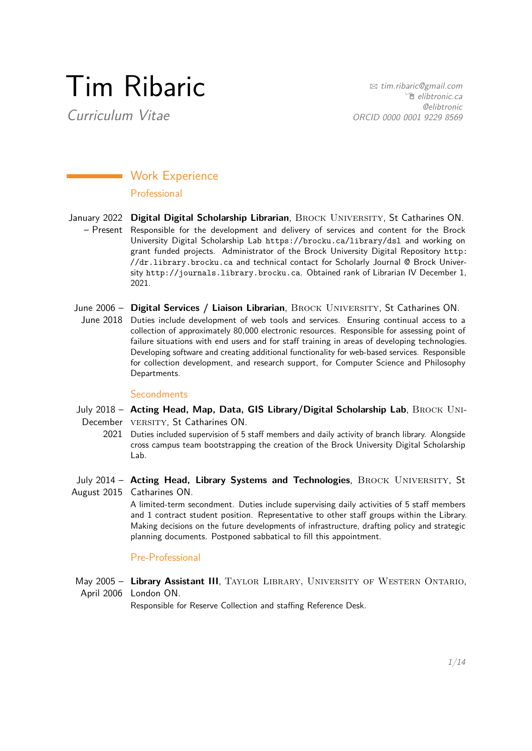# Tim Ribaric

Curriculum Vitae

B [tim.ribaric@gmail.com](mailto:tim.ribaric@gmail.com) <sup>•</sup> [elibtronic.ca](http://elibtronic.ca) @elibtronic ORCID 0000 0001 9229 8569

# **Work Experience**

## Professional

- January 2022 Digital Digital Scholarship Librarian, BROCK UNIVERSITY, St Catharines ON. – Present Responsible for the development and delivery of services and content for the Brock University Digital Scholarship Lab <https://brocku.ca/library/dsl> and working on grant funded projects. Administrator of the Brock University Digital Repository [http:](http://dr.library.brocku.ca) [//dr.library.brocku.ca](http://dr.library.brocku.ca) and technical contact for Scholarly Journal @ Brock University <http://journals.library.brocku.ca>. Obtained rank of Librarian IV December 1, 2021.
- June 2006 Digital Services / Liaison Librarian, BROCK UNIVERSITY, St Catharines ON.
	- June 2018 Duties include development of web tools and services. Ensuring continual access to a collection of approximately 80,000 electronic resources. Responsible for assessing point of failure situations with end users and for staff training in areas of developing technologies. Developing software and creating additional functionality for web-based services. Responsible for collection development, and research support, for Computer Science and Philosophy Departments.

## **Secondments**

- July 2018 **Acting Head, Map, Data, GIS Library/Digital Scholarship Lab**, Brock Uni-December VERSITY, St Catharines ON.
	- 2021 Duties included supervision of 5 staff members and daily activity of branch library. Alongside cross campus team bootstrapping the creation of the Brock University Digital Scholarship Lab.
- July 2014 Acting Head, Library Systems and Technologies, BROCK UNIVERSITY, St August 2015 Catharines ON.

A limited-term secondment. Duties include supervising daily activities of 5 staff members and 1 contract student position. Representative to other staff groups within the Library. Making decisions on the future developments of infrastructure, drafting policy and strategic planning documents. Postponed sabbatical to fill this appointment.

# Pre-Professional

May 2005 - Library Assistant III, TAYLOR LIBRARY, UNIVERSITY OF WESTERN ONTARIO, April 2006 London ON.

Responsible for Reserve Collection and staffing Reference Desk.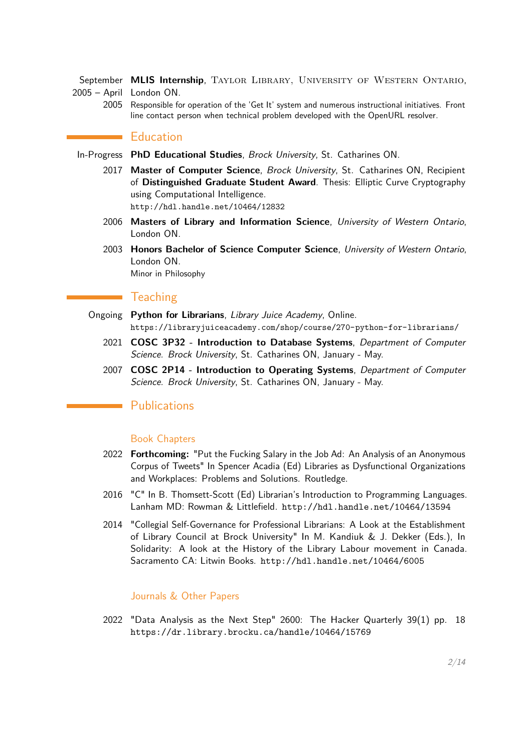September MLIS Internship, TAYLOR LIBRARY, UNIVERSITY OF WESTERN ONTARIO, 2005 – April London ON.

2005 Responsible for operation of the 'Get It' system and numerous instructional initiatives. Front line contact person when technical problem developed with the OpenURL resolver.

# **Education**

- In-Progress **PhD Educational Studies**, Brock University, St. Catharines ON.
	- 2017 **Master of Computer Science**, Brock University, St. Catharines ON, Recipient of **Distinguished Graduate Student Award**. Thesis: Elliptic Curve Cryptography using Computational Intelligence. <http://hdl.handle.net/10464/12832>
	- 2006 **Masters of Library and Information Science**, University of Western Ontario, London ON.
	- 2003 **Honors Bachelor of Science Computer Science**, University of Western Ontario, London ON. Minor in Philosophy

## **Teaching**

- Ongoing **Python for Librarians**, Library Juice Academy, Online. <https://libraryjuiceacademy.com/shop/course/270-python-for-librarians/>
	- 2021 **COSC 3P32 Introduction to Database Systems**, Department of Computer Science. Brock University, St. Catharines ON, January - May.
	- 2007 **COSC 2P14 Introduction to Operating Systems**, Department of Computer Science. Brock University, St. Catharines ON, January - May.

# **Publications**

## Book Chapters

- 2022 **Forthcoming:** "Put the Fucking Salary in the Job Ad: An Analysis of an Anonymous Corpus of Tweets" In Spencer Acadia (Ed) Libraries as Dysfunctional Organizations and Workplaces: Problems and Solutions. Routledge.
- 2016 "C" In B. Thomsett-Scott (Ed) Librarian's Introduction to Programming Languages. Lanham MD: Rowman & Littlefield. <http://hdl.handle.net/10464/13594>
- 2014 "Collegial Self-Governance for Professional Librarians: A Look at the Establishment of Library Council at Brock University" In M. Kandiuk & J. Dekker (Eds.), In Solidarity: A look at the History of the Library Labour movement in Canada. Sacramento CA: Litwin Books. <http://hdl.handle.net/10464/6005>

## Journals & Other Papers

2022 "Data Analysis as the Next Step" 2600: The Hacker Quarterly 39(1) pp. 18 <https://dr.library.brocku.ca/handle/10464/15769>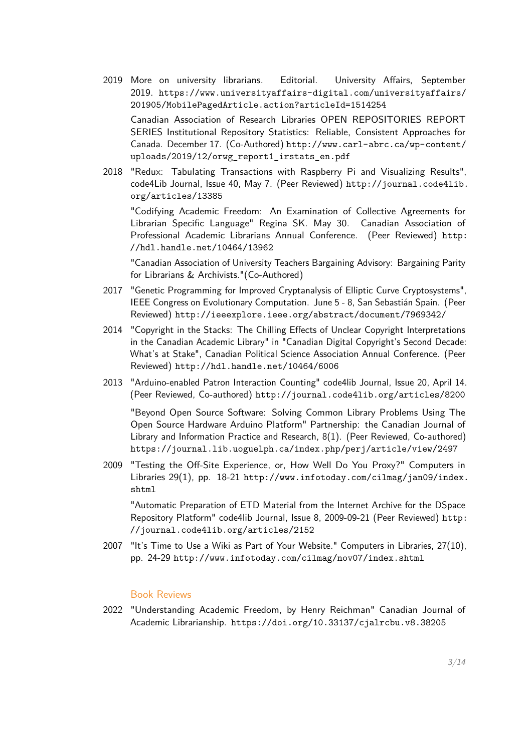2019 More on university librarians. Editorial. University Affairs, September 2019. [https://www.universityaffairs-digital.com/universityaffairs/](https://www.universityaffairs-digital.com/universityaffairs/201905/MobilePagedArticle.action?articleId=1514254) [201905/MobilePagedArticle.action?articleId=1514254](https://www.universityaffairs-digital.com/universityaffairs/201905/MobilePagedArticle.action?articleId=1514254)

Canadian Association of Research Libraries OPEN REPOSITORIES REPORT SERIES Institutional Repository Statistics: Reliable, Consistent Approaches for Canada. December 17. (Co-Authored) [http://www.carl-abrc.ca/wp-content/](http://www.carl-abrc.ca/wp-content/uploads/2019/12/orwg_report1_irstats_en.pdf) [uploads/2019/12/orwg\\_report1\\_irstats\\_en.pdf](http://www.carl-abrc.ca/wp-content/uploads/2019/12/orwg_report1_irstats_en.pdf)

2018 "Redux: Tabulating Transactions with Raspberry Pi and Visualizing Results", code4Lib Journal, Issue 40, May 7. (Peer Reviewed) [http://journal.code4lib.](http://journal.code4lib.org/articles/13385) [org/articles/13385](http://journal.code4lib.org/articles/13385)

"Codifying Academic Freedom: An Examination of Collective Agreements for Librarian Specific Language" Regina SK. May 30. Canadian Association of Professional Academic Librarians Annual Conference. (Peer Reviewed) [http:](http://hdl.handle.net/10464/13962) [//hdl.handle.net/10464/13962](http://hdl.handle.net/10464/13962)

"Canadian Association of University Teachers Bargaining Advisory: Bargaining Parity for Librarians & Archivists."(Co-Authored)

- 2017 "Genetic Programming for Improved Cryptanalysis of Elliptic Curve Cryptosystems", IEEE Congress on Evolutionary Computation. June 5 - 8, San Sebastián Spain. (Peer Reviewed) <http://ieeexplore.ieee.org/abstract/document/7969342/>
- 2014 "Copyright in the Stacks: The Chilling Effects of Unclear Copyright Interpretations in the Canadian Academic Library" in "Canadian Digital Copyright's Second Decade: What's at Stake", Canadian Political Science Association Annual Conference. (Peer Reviewed) <http://hdl.handle.net/10464/6006>
- 2013 "Arduino-enabled Patron Interaction Counting" code4lib Journal, Issue 20, April 14. (Peer Reviewed, Co-authored) <http://journal.code4lib.org/articles/8200>

"Beyond Open Source Software: Solving Common Library Problems Using The Open Source Hardware Arduino Platform" Partnership: the Canadian Journal of Library and Information Practice and Research, 8(1). (Peer Reviewed, Co-authored) <https://journal.lib.uoguelph.ca/index.php/perj/article/view/2497>

2009 "Testing the Off-Site Experience, or, How Well Do You Proxy?" Computers in Libraries 29(1), pp. 18-21 [http://www.infotoday.com/cilmag/jan09/index.](http://www.infotoday.com/cilmag/jan09/index.shtml) [shtml](http://www.infotoday.com/cilmag/jan09/index.shtml)

"Automatic Preparation of ETD Material from the Internet Archive for the DSpace Repository Platform" code4lib Journal, Issue 8, 2009-09-21 (Peer Reviewed) [http:](http://journal.code4lib.org/articles/2152) [//journal.code4lib.org/articles/2152](http://journal.code4lib.org/articles/2152)

2007 "It's Time to Use a Wiki as Part of Your Website." Computers in Libraries, 27(10), pp. 24-29 <http://www.infotoday.com/cilmag/nov07/index.shtml>

## Book Reviews

2022 "Understanding Academic Freedom, by Henry Reichman" Canadian Journal of Academic Librarianship. <https://doi.org/10.33137/cjalrcbu.v8.38205>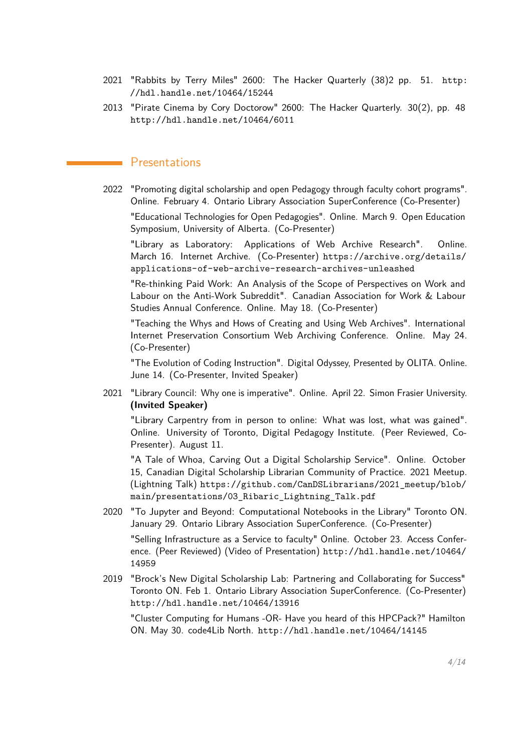- 2021 "Rabbits by Terry Miles" 2600: The Hacker Quarterly (38)2 pp. 51. [http:](http://hdl.handle.net/10464/15244) [//hdl.handle.net/10464/15244](http://hdl.handle.net/10464/15244)
- 2013 "Pirate Cinema by Cory Doctorow" 2600: The Hacker Quarterly. 30(2), pp. 48 <http://hdl.handle.net/10464/6011>

# **Presentations**

2022 "Promoting digital scholarship and open Pedagogy through faculty cohort programs". Online. February 4. Ontario Library Association SuperConference (Co-Presenter)

"Educational Technologies for Open Pedagogies". Online. March 9. Open Education Symposium, University of Alberta. (Co-Presenter)

"Library as Laboratory: Applications of Web Archive Research". Online. March 16. Internet Archive. (Co-Presenter) [https://archive.org/details/](https://archive.org/details/applications-of-web-archive-research-archives-unleashed) [applications-of-web-archive-research-archives-unleashed](https://archive.org/details/applications-of-web-archive-research-archives-unleashed)

"Re-thinking Paid Work: An Analysis of the Scope of Perspectives on Work and Labour on the Anti-Work Subreddit". Canadian Association for Work & Labour Studies Annual Conference. Online. May 18. (Co-Presenter)

"Teaching the Whys and Hows of Creating and Using Web Archives". International Internet Preservation Consortium Web Archiving Conference. Online. May 24. (Co-Presenter)

"The Evolution of Coding Instruction". Digital Odyssey, Presented by OLITA. Online. June 14. (Co-Presenter, Invited Speaker)

2021 "Library Council: Why one is imperative". Online. April 22. Simon Frasier University. **(Invited Speaker)**

"Library Carpentry from in person to online: What was lost, what was gained". Online. University of Toronto, Digital Pedagogy Institute. (Peer Reviewed, Co-Presenter). August 11.

"A Tale of Whoa, Carving Out a Digital Scholarship Service". Online. October 15, Canadian Digital Scholarship Librarian Community of Practice. 2021 Meetup. (Lightning Talk) [https://github.com/CanDSLibrarians/2021\\_meetup/blob/](https://github.com/CanDSLibrarians/2021_meetup/blob/main/presentations/03_Ribaric_Lightning_Talk.pdf) [main/presentations/03\\_Ribaric\\_Lightning\\_Talk.pdf](https://github.com/CanDSLibrarians/2021_meetup/blob/main/presentations/03_Ribaric_Lightning_Talk.pdf)

2020 "To Jupyter and Beyond: Computational Notebooks in the Library" Toronto ON. January 29. Ontario Library Association SuperConference. (Co-Presenter)

"Selling Infrastructure as a Service to faculty" Online. October 23. Access Conference. (Peer Reviewed) [\(Video of Presentation\)](https://www.youtube.com/watch?v=iszE2YP6oSM&feature=youtu.be&t=3229) [http://hdl.handle.net/10464/](http://hdl.handle.net/10464/14959) [14959](http://hdl.handle.net/10464/14959)

2019 "Brock's New Digital Scholarship Lab: Partnering and Collaborating for Success" Toronto ON. Feb 1. Ontario Library Association SuperConference. (Co-Presenter) <http://hdl.handle.net/10464/13916>

"Cluster Computing for Humans -OR- Have you heard of this HPCPack?" Hamilton ON. May 30. code4Lib North. <http://hdl.handle.net/10464/14145>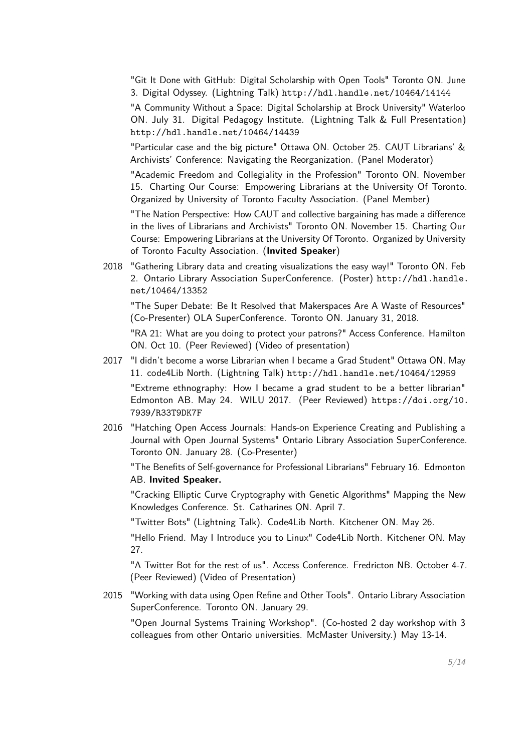"Git It Done with GitHub: Digital Scholarship with Open Tools" Toronto ON. June 3. Digital Odyssey. (Lightning Talk) <http://hdl.handle.net/10464/14144>

"A Community Without a Space: Digital Scholarship at Brock University" Waterloo ON. July 31. Digital Pedagogy Institute. (Lightning Talk & Full Presentation) <http://hdl.handle.net/10464/14439>

"Particular case and the big picture" Ottawa ON. October 25. CAUT Librarians' & Archivists' Conference: Navigating the Reorganization. (Panel Moderator)

"Academic Freedom and Collegiality in the Profession" Toronto ON. November 15. Charting Our Course: Empowering Librarians at the University Of Toronto. Organized by University of Toronto Faculty Association. (Panel Member)

"The Nation Perspective: How CAUT and collective bargaining has made a difference in the lives of Librarians and Archivists" Toronto ON. November 15. Charting Our Course: Empowering Librarians at the University Of Toronto. Organized by University of Toronto Faculty Association. (**Invited Speaker**)

2018 "Gathering Library data and creating visualizations the easy way!" Toronto ON. Feb 2. Ontario Library Association SuperConference. (Poster) [http://hdl.handle.](http://hdl.handle.net/10464/13352) [net/10464/13352](http://hdl.handle.net/10464/13352)

"The Super Debate: Be It Resolved that Makerspaces Are A Waste of Resources" (Co-Presenter) OLA SuperConference. Toronto ON. January 31, 2018.

"RA 21: What are you doing to protect your patrons?" Access Conference. Hamilton ON. Oct 10. (Peer Reviewed) [\(Video of presentation\)](https://youtu.be/ge2ZtRiv5j4?t=3133)

2017 "I didn't become a worse Librarian when I became a Grad Student" Ottawa ON. May 11. code4Lib North. (Lightning Talk) <http://hdl.handle.net/10464/12959>

"Extreme ethnography: How I became a grad student to be a better librarian" Edmonton AB. May 24. WILU 2017. (Peer Reviewed) [https://doi.org/10.](https://doi.org/10.7939/R33T9DK7F) [7939/R33T9DK7F](https://doi.org/10.7939/R33T9DK7F)

2016 "Hatching Open Access Journals: Hands-on Experience Creating and Publishing a Journal with Open Journal Systems" Ontario Library Association SuperConference. Toronto ON. January 28. (Co-Presenter)

"The Benefits of Self-governance for Professional Librarians" February 16. Edmonton AB. **Invited Speaker.**

"Cracking Elliptic Curve Cryptography with Genetic Algorithms" Mapping the New Knowledges Conference. St. Catharines ON. April 7.

"Twitter Bots" (Lightning Talk). Code4Lib North. Kitchener ON. May 26.

"Hello Friend. May I Introduce you to Linux" Code4Lib North. Kitchener ON. May 27.

"A Twitter Bot for the rest of us". Access Conference. Fredricton NB. October 4-7. (Peer Reviewed) [\(Video of Presentation\)](http://www.youtube.com/watch?v=uH7Yy2WaMGA&t=256m51s)

2015 "Working with data using Open Refine and Other Tools". Ontario Library Association SuperConference. Toronto ON. January 29.

"Open Journal Systems Training Workshop". (Co-hosted 2 day workshop with 3 colleagues from other Ontario universities. McMaster University.) May 13-14.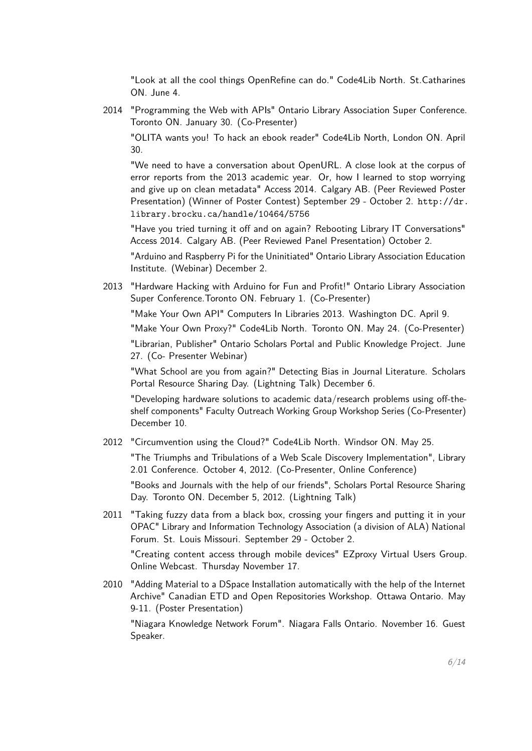"Look at all the cool things OpenRefine can do." Code4Lib North. St.Catharines ON. June 4.

2014 "Programming the Web with APIs" Ontario Library Association Super Conference. Toronto ON. January 30. (Co-Presenter)

"OLITA wants you! To hack an ebook reader" Code4Lib North, London ON. April 30.

"We need to have a conversation about OpenURL. A close look at the corpus of error reports from the 2013 academic year. Or, how I learned to stop worrying and give up on clean metadata" Access 2014. Calgary AB. (Peer Reviewed Poster Presentation) (Winner of Poster Contest) September 29 - October 2. [http://dr.](http://dr.library.brocku.ca/handle/10464/5756) [library.brocku.ca/handle/10464/5756](http://dr.library.brocku.ca/handle/10464/5756)

"Have you tried turning it off and on again? Rebooting Library IT Conversations" Access 2014. Calgary AB. (Peer Reviewed Panel Presentation) October 2.

"Arduino and Raspberry Pi for the Uninitiated" Ontario Library Association Education Institute. (Webinar) December 2.

2013 "Hardware Hacking with Arduino for Fun and Profit!" Ontario Library Association Super Conference.Toronto ON. February 1. (Co-Presenter)

"Make Your Own API" Computers In Libraries 2013. Washington DC. April 9.

"Make Your Own Proxy?" Code4Lib North. Toronto ON. May 24. (Co-Presenter)

"Librarian, Publisher" Ontario Scholars Portal and Public Knowledge Project. June 27. (Co- Presenter Webinar)

"What School are you from again?" Detecting Bias in Journal Literature. Scholars Portal Resource Sharing Day. (Lightning Talk) December 6.

"Developing hardware solutions to academic data/research problems using off-theshelf components" Faculty Outreach Working Group Workshop Series (Co-Presenter) December 10.

2012 "Circumvention using the Cloud?" Code4Lib North. Windsor ON. May 25.

"The Triumphs and Tribulations of a Web Scale Discovery Implementation", Library 2.01 Conference. October 4, 2012. (Co-Presenter, Online Conference)

"Books and Journals with the help of our friends", Scholars Portal Resource Sharing Day. Toronto ON. December 5, 2012. (Lightning Talk)

2011 "Taking fuzzy data from a black box, crossing your fingers and putting it in your OPAC" Library and Information Technology Association (a division of ALA) National Forum. St. Louis Missouri. September 29 - October 2.

"Creating content access through mobile devices" EZproxy Virtual Users Group. Online Webcast. Thursday November 17.

2010 "Adding Material to a DSpace Installation automatically with the help of the Internet Archive" Canadian ETD and Open Repositories Workshop. Ottawa Ontario. May 9-11. (Poster Presentation)

"Niagara Knowledge Network Forum". Niagara Falls Ontario. November 16. Guest Speaker.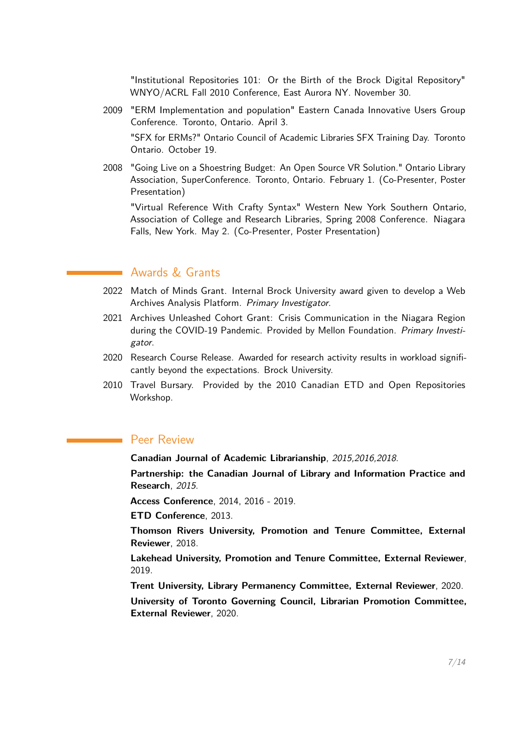"Institutional Repositories 101: Or the Birth of the Brock Digital Repository" WNYO/ACRL Fall 2010 Conference, East Aurora NY. November 30.

- 2009 "ERM Implementation and population" Eastern Canada Innovative Users Group Conference. Toronto, Ontario. April 3. "SFX for ERMs?" Ontario Council of Academic Libraries SFX Training Day. Toronto Ontario. October 19.
- 2008 "Going Live on a Shoestring Budget: An Open Source VR Solution." Ontario Library Association, SuperConference. Toronto, Ontario. February 1. (Co-Presenter, Poster Presentation)

"Virtual Reference With Crafty Syntax" Western New York Southern Ontario, Association of College and Research Libraries, Spring 2008 Conference. Niagara Falls, New York. May 2. (Co-Presenter, Poster Presentation)

# **Awards & Grants**

- 2022 Match of Minds Grant. Internal Brock University award given to develop a Web Archives Analysis Platform. Primary Investigator.
- 2021 Archives Unleashed Cohort Grant: Crisis Communication in the Niagara Region during the COVID-19 Pandemic. Provided by Mellon Foundation. Primary Investigator.
- 2020 Research Course Release. Awarded for research activity results in workload significantly beyond the expectations. Brock University.
- 2010 Travel Bursary. Provided by the 2010 Canadian ETD and Open Repositories Workshop.

# Peer Review

**Canadian Journal of Academic Librarianship**, 2015,2016,2018.

**Partnership: the Canadian Journal of Library and Information Practice and Research**, 2015.

**Access Conference**, 2014, 2016 - 2019.

**ETD Conference**, 2013.

**Thomson Rivers University, Promotion and Tenure Committee, External Reviewer**, 2018.

**Lakehead University, Promotion and Tenure Committee, External Reviewer**, 2019.

**Trent University, Library Permanency Committee, External Reviewer**, 2020.

**University of Toronto Governing Council, Librarian Promotion Committee, External Reviewer**, 2020.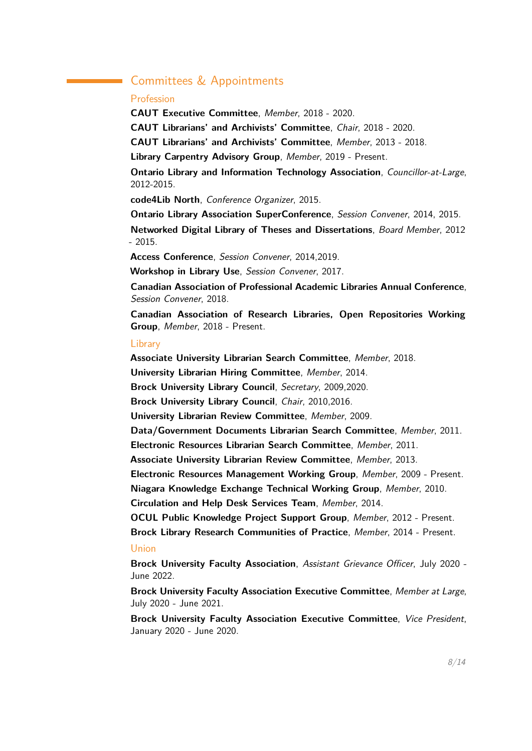# Committees & Appointments

## Profession

**CAUT Executive Committee**, Member, 2018 - 2020. **CAUT Librarians' and Archivists' Committee**, Chair, 2018 - 2020. **CAUT Librarians' and Archivists' Committee**, Member, 2013 - 2018. **Library Carpentry Advisory Group**, Member, 2019 - Present. **Ontario Library and Information Technology Association**, Councillor-at-Large, 2012-2015. **code4Lib North**, Conference Organizer, 2015. **Ontario Library Association SuperConference**, Session Convener, 2014, 2015. **Networked Digital Library of Theses and Dissertations**, Board Member, 2012 - 2015.

**Access Conference**, Session Convener, 2014,2019.

**Workshop in Library Use**, Session Convener, 2017.

**Canadian Association of Professional Academic Libraries Annual Conference**, Session Convener, 2018.

**Canadian Association of Research Libraries, Open Repositories Working Group**, Member, 2018 - Present.

## **Library**

**Associate University Librarian Search Committee**, Member, 2018. **University Librarian Hiring Committee**, Member, 2014. **Brock University Library Council**, Secretary, 2009,2020. **Brock University Library Council**, Chair, 2010,2016. **University Librarian Review Committee**, Member, 2009. **Data/Government Documents Librarian Search Committee**, Member, 2011. **Electronic Resources Librarian Search Committee**, Member, 2011. **Associate University Librarian Review Committee**, Member, 2013. **Electronic Resources Management Working Group**, Member, 2009 - Present. **Niagara Knowledge Exchange Technical Working Group**, Member, 2010. **Circulation and Help Desk Services Team**, Member, 2014. **OCUL Public Knowledge Project Support Group**, Member, 2012 - Present. **Brock Library Research Communities of Practice**, Member, 2014 - Present. Union

**Brock University Faculty Association**, Assistant Grievance Officer, July 2020 - June 2022.

**Brock University Faculty Association Executive Committee**, Member at Large, July 2020 - June 2021.

**Brock University Faculty Association Executive Committee**, Vice President, January 2020 - June 2020.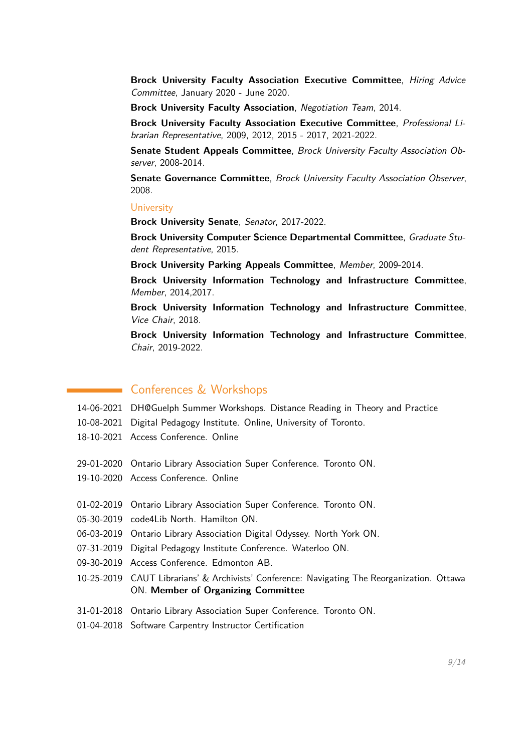**Brock University Faculty Association Executive Committee**, Hiring Advice Committee, January 2020 - June 2020.

**Brock University Faculty Association**, Negotiation Team, 2014.

**Brock University Faculty Association Executive Committee**, Professional Librarian Representative, 2009, 2012, 2015 - 2017, 2021-2022.

**Senate Student Appeals Committee**, Brock University Faculty Association Observer, 2008-2014.

**Senate Governance Committee**, Brock University Faculty Association Observer, 2008.

#### **University**

**Brock University Senate**, Senator, 2017-2022.

**Brock University Computer Science Departmental Committee**, Graduate Student Representative, 2015.

**Brock University Parking Appeals Committee**, Member, 2009-2014.

**Brock University Information Technology and Infrastructure Committee**, Member, 2014,2017.

**Brock University Information Technology and Infrastructure Committee**, Vice Chair, 2018.

**Brock University Information Technology and Infrastructure Committee**, Chair, 2019-2022.

# **Conferences & Workshops**

- 14-06-2021 DH@Guelph Summer Workshops. Distance Reading in Theory and Practice
- 10-08-2021 Digital Pedagogy Institute. Online, University of Toronto.
- 18-10-2021 Access Conference. Online
- 29-01-2020 Ontario Library Association Super Conference. Toronto ON.
- 19-10-2020 Access Conference. Online
- 01-02-2019 Ontario Library Association Super Conference. Toronto ON.
- 05-30-2019 code4Lib North. Hamilton ON.
- 06-03-2019 Ontario Library Association Digital Odyssey. North York ON.
- 07-31-2019 Digital Pedagogy Institute Conference. Waterloo ON.
- 09-30-2019 Access Conference. Edmonton AB.
- 10-25-2019 CAUT Librarians' & Archivists' Conference: Navigating The Reorganization. Ottawa ON. **Member of Organizing Committee**
- 31-01-2018 Ontario Library Association Super Conference. Toronto ON.
- 01-04-2018 Software Carpentry Instructor Certification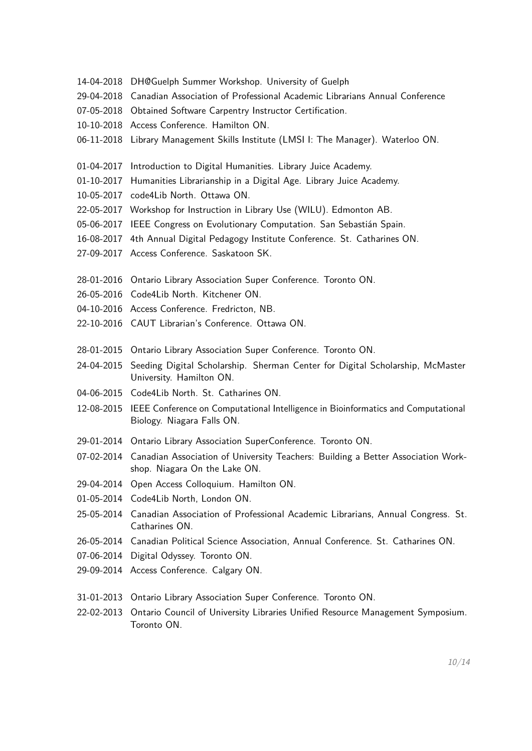- 14-04-2018 DH@Guelph Summer Workshop. University of Guelph
- 29-04-2018 Canadian Association of Professional Academic Librarians Annual Conference
- 07-05-2018 Obtained Software Carpentry Instructor Certification.
- 10-10-2018 Access Conference. Hamilton ON.
- 06-11-2018 Library Management Skills Institute (LMSI I: The Manager). Waterloo ON.
- 01-04-2017 Introduction to Digital Humanities. Library Juice Academy.
- 01-10-2017 Humanities Librarianship in a Digital Age. Library Juice Academy.
- 10-05-2017 code4Lib North. Ottawa ON.
- 22-05-2017 Workshop for Instruction in Library Use (WILU). Edmonton AB.
- 05-06-2017 IEEE Congress on Evolutionary Computation. San Sebastián Spain.
- 16-08-2017 4th Annual Digital Pedagogy Institute Conference. St. Catharines ON.
- 27-09-2017 Access Conference. Saskatoon SK.
- 28-01-2016 Ontario Library Association Super Conference. Toronto ON.
- 26-05-2016 Code4Lib North. Kitchener ON.
- 04-10-2016 Access Conference. Fredricton, NB.
- 22-10-2016 CAUT Librarian's Conference. Ottawa ON.
- 28-01-2015 Ontario Library Association Super Conference. Toronto ON.
- 24-04-2015 Seeding Digital Scholarship. Sherman Center for Digital Scholarship, McMaster University. Hamilton ON.
- 04-06-2015 Code4Lib North. St. Catharines ON.
- 12-08-2015 IEEE Conference on Computational Intelligence in Bioinformatics and Computational Biology. Niagara Falls ON.
- 29-01-2014 Ontario Library Association SuperConference. Toronto ON.
- 07-02-2014 Canadian Association of University Teachers: Building a Better Association Workshop. Niagara On the Lake ON.
- 29-04-2014 Open Access Colloquium. Hamilton ON.
- 01-05-2014 Code4Lib North, London ON.
- 25-05-2014 Canadian Association of Professional Academic Librarians, Annual Congress. St. Catharines ON.
- 26-05-2014 Canadian Political Science Association, Annual Conference. St. Catharines ON.
- 07-06-2014 Digital Odyssey. Toronto ON.
- 29-09-2014 Access Conference. Calgary ON.
- 31-01-2013 Ontario Library Association Super Conference. Toronto ON.
- 22-02-2013 Ontario Council of University Libraries Unified Resource Management Symposium. Toronto ON.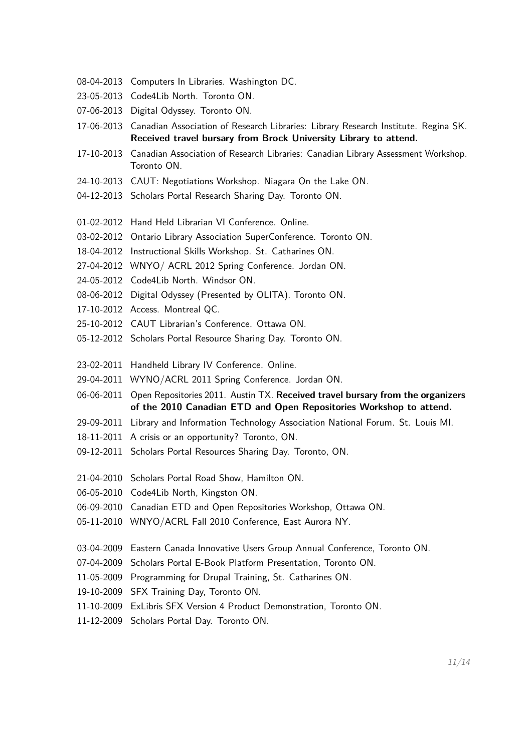- 08-04-2013 Computers In Libraries. Washington DC.
- 23-05-2013 Code4Lib North. Toronto ON.
- 07-06-2013 Digital Odyssey. Toronto ON.
- 17-06-2013 Canadian Association of Research Libraries: Library Research Institute. Regina SK. **Received travel bursary from Brock University Library to attend.**
- 17-10-2013 Canadian Association of Research Libraries: Canadian Library Assessment Workshop. Toronto ON.
- 24-10-2013 CAUT: Negotiations Workshop. Niagara On the Lake ON.
- 04-12-2013 Scholars Portal Research Sharing Day. Toronto ON.
- 01-02-2012 Hand Held Librarian VI Conference. Online.
- 03-02-2012 Ontario Library Association SuperConference. Toronto ON.
- 18-04-2012 Instructional Skills Workshop. St. Catharines ON.
- 27-04-2012 WNYO/ ACRL 2012 Spring Conference. Jordan ON.
- 24-05-2012 Code4Lib North. Windsor ON.
- 08-06-2012 Digital Odyssey (Presented by OLITA). Toronto ON.
- 17-10-2012 Access. Montreal QC.
- 25-10-2012 CAUT Librarian's Conference. Ottawa ON.
- 05-12-2012 Scholars Portal Resource Sharing Day. Toronto ON.
- 23-02-2011 Handheld Library IV Conference. Online.
- 29-04-2011 WYNO/ACRL 2011 Spring Conference. Jordan ON.
- 06-06-2011 Open Repositories 2011. Austin TX. **Received travel bursary from the organizers of the 2010 Canadian ETD and Open Repositories Workshop to attend.**
- 29-09-2011 Library and Information Technology Association National Forum. St. Louis MI.
- 18-11-2011 A crisis or an opportunity? Toronto, ON.
- 09-12-2011 Scholars Portal Resources Sharing Day. Toronto, ON.
- 21-04-2010 Scholars Portal Road Show, Hamilton ON.
- 06-05-2010 Code4Lib North, Kingston ON.
- 06-09-2010 Canadian ETD and Open Repositories Workshop, Ottawa ON.
- 05-11-2010 WNYO/ACRL Fall 2010 Conference, East Aurora NY.
- 03-04-2009 Eastern Canada Innovative Users Group Annual Conference, Toronto ON.
- 07-04-2009 Scholars Portal E-Book Platform Presentation, Toronto ON.
- 11-05-2009 Programming for Drupal Training, St. Catharines ON.
- 19-10-2009 SFX Training Day, Toronto ON.
- 11-10-2009 ExLibris SFX Version 4 Product Demonstration, Toronto ON.
- 11-12-2009 Scholars Portal Day. Toronto ON.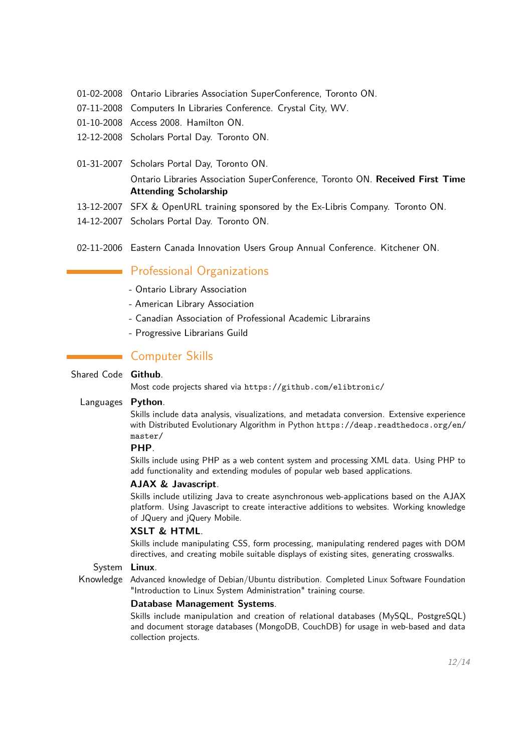- 01-02-2008 Ontario Libraries Association SuperConference, Toronto ON.
- 07-11-2008 Computers In Libraries Conference. Crystal City, WV.
- 01-10-2008 Access 2008. Hamilton ON.
- 12-12-2008 Scholars Portal Day. Toronto ON.
- 01-31-2007 Scholars Portal Day, Toronto ON. Ontario Libraries Association SuperConference, Toronto ON. **Received First Time Attending Scholarship**
- 13-12-2007 SFX & OpenURL training sponsored by the Ex-Libris Company. Toronto ON.
- 14-12-2007 Scholars Portal Day. Toronto ON.
- 02-11-2006 Eastern Canada Innovation Users Group Annual Conference. Kitchener ON.

# **Professional Organizations**

- Ontario Library Association
- American Library Association
- Canadian Association of Professional Academic Librarains
- Progressive Librarians Guild

# **Computer Skills**

## Shared Code **Github**.

Most code projects shared via <https://github.com/elibtronic/>

## Languages **Python**.

Skills include data analysis, visualizations, and metadata conversion. Extensive experience with Distributed Evolutionary Algorithm in Python [https://deap.readthedocs.org/en/](https://deap.readthedocs.org/en/master/) [master/](https://deap.readthedocs.org/en/master/)

## **PHP**.

Skills include using PHP as a web content system and processing XML data. Using PHP to add functionality and extending modules of popular web based applications.

## **AJAX & Javascript**.

Skills include utilizing Java to create asynchronous web-applications based on the AJAX platform. Using Javascript to create interactive additions to websites. Working knowledge of JQuery and jQuery Mobile.

## **XSLT & HTML**.

Skills include manipulating CSS, form processing, manipulating rendered pages with DOM directives, and creating mobile suitable displays of existing sites, generating crosswalks.

### System **Linux**.

Knowledge Advanced knowledge of Debian/Ubuntu distribution. Completed Linux Software Foundation "Introduction to Linux System Administration" training course.

### **Database Management Systems**.

Skills include manipulation and creation of relational databases (MySQL, PostgreSQL) and document storage databases (MongoDB, CouchDB) for usage in web-based and data collection projects.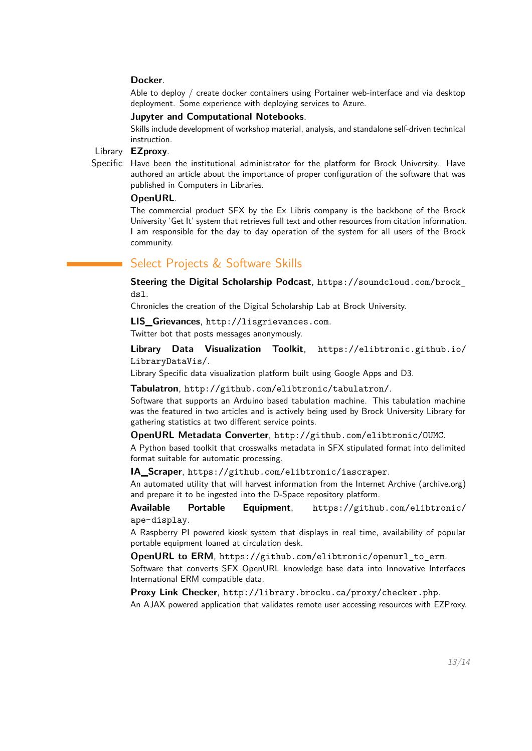#### **Docker**.

Able to deploy / create docker containers using Portainer web-interface and via desktop deployment. Some experience with deploying services to Azure.

## **Jupyter and Computational Notebooks**.

Skills include development of workshop material, analysis, and standalone self-driven technical instruction.

### Library **EZproxy**.

Specific Have been the institutional administrator for the platform for Brock University. Have authored an article about the importance of proper configuration of the software that was published in Computers in Libraries.

#### **OpenURL**.

The commercial product SFX by the Ex Libris company is the backbone of the Brock University 'Get It' system that retrieves full text and other resources from citation information. I am responsible for the day to day operation of the system for all users of the Brock community.

# <span id="page-12-0"></span>Select Projects & Software Skills

**Steering the Digital Scholarship Podcast**, [https://soundcloud.com/brock\\_](https://soundcloud.com/brock_dsl) [dsl](https://soundcloud.com/brock_dsl).

Chronicles the creation of the Digital Scholarship Lab at Brock University.

**LIS\_Grievances**, <http://lisgrievances.com>.

Twitter bot that posts messages anonymously.

**Library Data Visualization Toolkit**, [https://elibtronic.github.io/](https://elibtronic.github.io/LibraryDataVis/) [LibraryDataVis/](https://elibtronic.github.io/LibraryDataVis/).

Library Specific data visualization platform built using Google Apps and D3.

**Tabulatron**, <http://github.com/elibtronic/tabulatron/>.

Software that supports an Arduino based tabulation machine. This tabulation machine was the featured in two articles and is actively being used by Brock University Library for gathering statistics at two different service points.

**OpenURL Metadata Converter**, <http://github.com/elibtronic/OUMC>.

A Python based toolkit that crosswalks metadata in SFX stipulated format into delimited format suitable for automatic processing.

**IA\_Scraper**, <https://github.com/elibtronic/iascraper>.

An automated utility that will harvest information from the Internet Archive (archive.org) and prepare it to be ingested into the D-Space repository platform.

**Available Portable Equipment**, [https://github.com/elibtronic/](https://github.com/elibtronic/ape-display) [ape-display](https://github.com/elibtronic/ape-display).

A Raspberry PI powered kiosk system that displays in real time, availability of popular portable equipment loaned at circulation desk.

**OpenURL to ERM**, [https://github.com/elibtronic/openurl\\_to\\_erm](https://github.com/elibtronic/openurl_to_erm). Software that converts SFX OpenURL knowledge base data into Innovative Interfaces International ERM compatible data.

**Proxy Link Checker**, <http://library.brocku.ca/proxy/checker.php>. An AJAX powered application that validates remote user accessing resources with EZProxy.